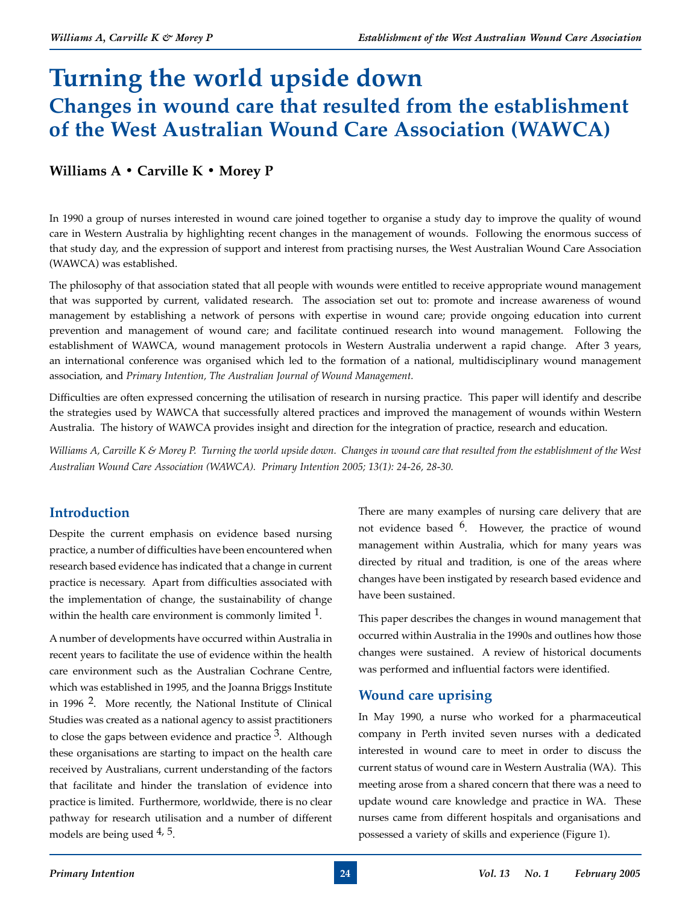# **Turning the world upside down Changes in wound care that resulted from the establishment of the West Australian Wound Care Association (WAWCA)**

# **Williams A • Carville K • Morey P**

In 1990 a group of nurses interested in wound care joined together to organise a study day to improve the quality of wound care in Western Australia by highlighting recent changes in the management of wounds. Following the enormous success of that study day, and the expression of support and interest from practising nurses, the West Australian Wound Care Association (WAWCA) was established.

The philosophy of that association stated that all people with wounds were entitled to receive appropriate wound management that was supported by current, validated research. The association set out to: promote and increase awareness of wound management by establishing a network of persons with expertise in wound care; provide ongoing education into current prevention and management of wound care; and facilitate continued research into wound management. Following the establishment of WAWCA, wound management protocols in Western Australia underwent a rapid change. After 3 years, an international conference was organised which led to the formation of a national, multidisciplinary wound management association, and *Primary Intention, The Australian Journal of Wound Management.*

Difficulties are often expressed concerning the utilisation of research in nursing practice. This paper will identify and describe the strategies used by WAWCA that successfully altered practices and improved the management of wounds within Western Australia. The history of WAWCA provides insight and direction for the integration of practice, research and education.

*Williams A, Carville K & Morey P. Turning the world upside down. Changes in wound care that resulted from the establishment of the West Australian Wound Care Association (WAWCA). Primary Intention 2005; 13(1): 24-26, 28-30.*

# **Introduction**

Despite the current emphasis on evidence based nursing practice, a number of difficulties have been encountered when research based evidence has indicated that a change in current practice is necessary. Apart from difficulties associated with the implementation of change, the sustainability of change within the health care environment is commonly limited  $1$ .

A number of developments have occurred within Australia in recent years to facilitate the use of evidence within the health care environment such as the Australian Cochrane Centre, which was established in 1995, and the Joanna Briggs Institute in 1996 2. More recently, the National Institute of Clinical Studies was created as a national agency to assist practitioners to close the gaps between evidence and practice  $3$ . Although these organisations are starting to impact on the health care received by Australians, current understanding of the factors that facilitate and hinder the translation of evidence into practice is limited. Furthermore, worldwide, there is no clear pathway for research utilisation and a number of different models are being used  $4, 5$ .

There are many examples of nursing care delivery that are not evidence based  $6$ . However, the practice of wound management within Australia, which for many years was directed by ritual and tradition, is one of the areas where changes have been instigated by research based evidence and have been sustained.

This paper describes the changes in wound management that occurred within Australia in the 1990s and outlines how those changes were sustained. A review of historical documents was performed and influential factors were identified.

# **Wound care uprising**

In May 1990, a nurse who worked for a pharmaceutical company in Perth invited seven nurses with a dedicated interested in wound care to meet in order to discuss the current status of wound care in Western Australia (WA). This meeting arose from a shared concern that there was a need to update wound care knowledge and practice in WA. These nurses came from different hospitals and organisations and possessed a variety of skills and experience (Figure 1).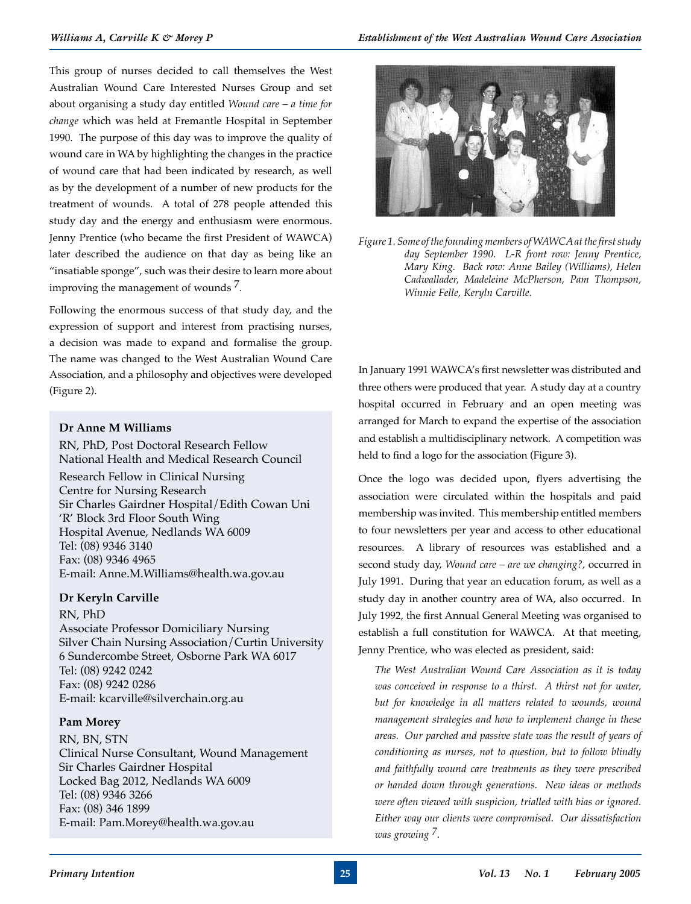This group of nurses decided to call themselves the West Australian Wound Care Interested Nurses Group and set about organising a study day entitled *Wound care – a time for change* which was held at Fremantle Hospital in September 1990. The purpose of this day was to improve the quality of wound care in WA by highlighting the changes in the practice of wound care that had been indicated by research, as well as by the development of a number of new products for the treatment of wounds. A total of 278 people attended this study day and the energy and enthusiasm were enormous. Jenny Prentice (who became the first President of WAWCA) later described the audience on that day as being like an "insatiable sponge", such was their desire to learn more about improving the management of wounds 7.

Following the enormous success of that study day, and the expression of support and interest from practising nurses, a decision was made to expand and formalise the group. The name was changed to the West Australian Wound Care Association, and a philosophy and objectives were developed (Figure 2).

#### **Dr Anne M Williams**

RN, PhD, Post Doctoral Research Fellow National Health and Medical Research Council Research Fellow in Clinical Nursing Centre for Nursing Research Sir Charles Gairdner Hospital/Edith Cowan Uni 'R' Block 3rd Floor South Wing Hospital Avenue, Nedlands WA 6009 Tel: (08) 9346 3140 Fax: (08) 9346 4965 E-mail: Anne.M.Williams@health.wa.gov.au

### **Dr Keryln Carville**

RN, PhD

Associate Professor Domiciliary Nursing Silver Chain Nursing Association/Curtin University 6 Sundercombe Street, Osborne Park WA 6017 Tel: (08) 9242 0242 Fax: (08) 9242 0286 E-mail: kcarville@silverchain.org.au

#### **Pam Morey**

RN, BN, STN Clinical Nurse Consultant, Wound Management Sir Charles Gairdner Hospital Locked Bag 2012, Nedlands WA 6009 Tel: (08) 9346 3266 Fax: (08) 346 1899 E-mail: Pam.Morey@health.wa.gov.au



*Figure 1. Some of the founding members of WAWCA at the first study day September 1990. L-R front row: Jenny Prentice, Mary King. Back row: Anne Bailey (Williams), Helen Cadwallader, Madeleine McPherson, Pam Thompson, Winnie Felle, Keryln Carville.*

In January 1991 WAWCA's first newsletter was distributed and three others were produced that year. A study day at a country hospital occurred in February and an open meeting was arranged for March to expand the expertise of the association and establish a multidisciplinary network. A competition was held to find a logo for the association (Figure 3).

Once the logo was decided upon, flyers advertising the association were circulated within the hospitals and paid membership was invited. This membership entitled members to four newsletters per year and access to other educational resources. A library of resources was established and a second study day, *Wound care – are we changing?,* occurred in July 1991. During that year an education forum, as well as a study day in another country area of WA, also occurred. In July 1992, the first Annual General Meeting was organised to establish a full constitution for WAWCA. At that meeting, Jenny Prentice, who was elected as president, said:

*The West Australian Wound Care Association as it is today was conceived in response to a thirst. A thirst not for water, but for knowledge in all matters related to wounds, wound management strategies and how to implement change in these areas. Our parched and passive state was the result of years of conditioning as nurses, not to question, but to follow blindly and faithfully wound care treatments as they were prescribed or handed down through generations. New ideas or methods were often viewed with suspicion, trialled with bias or ignored. Either way our clients were compromised. Our dissatisfaction was growing 7.*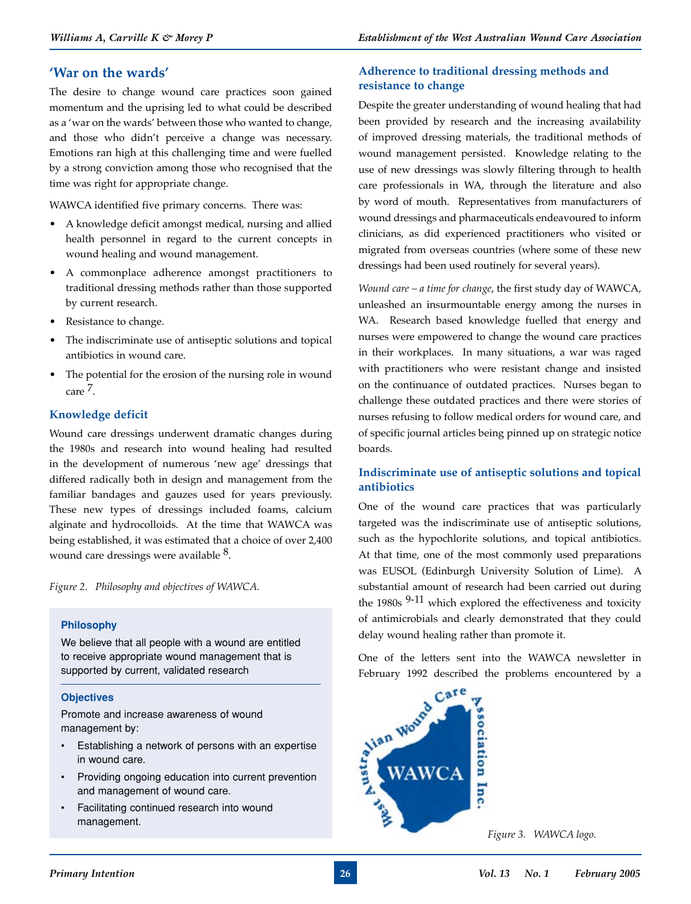# **'War on the wards'**

The desire to change wound care practices soon gained momentum and the uprising led to what could be described as a 'war on the wards' between those who wanted to change, and those who didn't perceive a change was necessary. Emotions ran high at this challenging time and were fuelled by a strong conviction among those who recognised that the time was right for appropriate change.

WAWCA identified five primary concerns. There was:

- A knowledge deficit amongst medical, nursing and allied health personnel in regard to the current concepts in wound healing and wound management.
- A commonplace adherence amongst practitioners to traditional dressing methods rather than those supported by current research.
- Resistance to change.
- The indiscriminate use of antiseptic solutions and topical antibiotics in wound care.
- The potential for the erosion of the nursing role in wound care 7.

### **Knowledge deficit**

Wound care dressings underwent dramatic changes during the 1980s and research into wound healing had resulted in the development of numerous 'new age' dressings that differed radically both in design and management from the familiar bandages and gauzes used for years previously. These new types of dressings included foams, calcium alginate and hydrocolloids. At the time that WAWCA was being established, it was estimated that a choice of over 2,400 wound care dressings were available <sup>8</sup>.

*Figure 2. Philosophy and objectives of WAWCA.*

#### **Philosophy**

We believe that all people with a wound are entitled to receive appropriate wound management that is supported by current, validated research

#### **Objectives**

Promote and increase awareness of wound management by:

- Establishing a network of persons with an expertise in wound care.
- Providing ongoing education into current prevention and management of wound care.
- Facilitating continued research into wound management.

# **Adherence to traditional dressing methods and resistance to change**

Despite the greater understanding of wound healing that had been provided by research and the increasing availability of improved dressing materials, the traditional methods of wound management persisted. Knowledge relating to the use of new dressings was slowly filtering through to health care professionals in WA, through the literature and also by word of mouth. Representatives from manufacturers of wound dressings and pharmaceuticals endeavoured to inform clinicians, as did experienced practitioners who visited or migrated from overseas countries (where some of these new dressings had been used routinely for several years).

*Wound care – a time for change*, the first study day of WAWCA, unleashed an insurmountable energy among the nurses in WA. Research based knowledge fuelled that energy and nurses were empowered to change the wound care practices in their workplaces. In many situations, a war was raged with practitioners who were resistant change and insisted on the continuance of outdated practices. Nurses began to challenge these outdated practices and there were stories of nurses refusing to follow medical orders for wound care, and of specific journal articles being pinned up on strategic notice boards.

### **Indiscriminate use of antiseptic solutions and topical antibiotics**

One of the wound care practices that was particularly targeted was the indiscriminate use of antiseptic solutions, such as the hypochlorite solutions, and topical antibiotics. At that time, one of the most commonly used preparations was EUSOL (Edinburgh University Solution of Lime). A substantial amount of research had been carried out during the 1980s <sup>9-11</sup> which explored the effectiveness and toxicity of antimicrobials and clearly demonstrated that they could

One of the letters sent into the WAWCA newsletter in February 1992 described the problems encountered by a



*Figure 3. WAWCA logo.*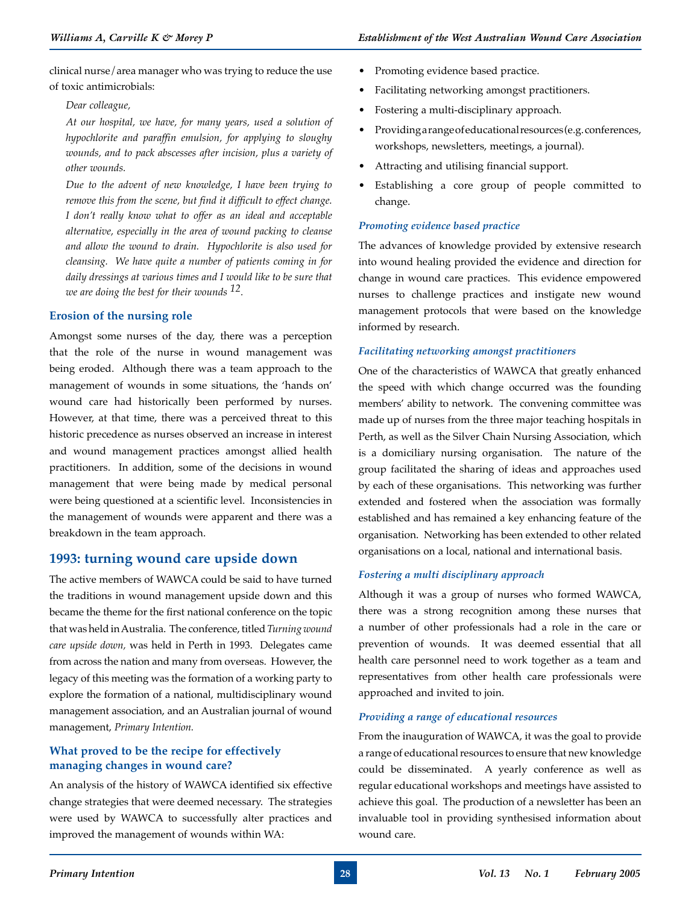clinical nurse/area manager who was trying to reduce the use of toxic antimicrobials:

*Dear colleague,*

*At our hospital, we have, for many years, used a solution of hypochlorite and paraffin emulsion, for applying to sloughy wounds, and to pack abscesses after incision, plus a variety of other wounds.*

*Due to the advent of new knowledge, I have been trying to remove this from the scene, but find it difficult to effect change. I don't really know what to offer as an ideal and acceptable alternative, especially in the area of wound packing to cleanse and allow the wound to drain. Hypochlorite is also used for cleansing. We have quite a number of patients coming in for daily dressings at various times and I would like to be sure that we are doing the best for their wounds 12.*

### **Erosion of the nursing role**

Amongst some nurses of the day, there was a perception that the role of the nurse in wound management was being eroded. Although there was a team approach to the management of wounds in some situations, the 'hands on' wound care had historically been performed by nurses. However, at that time, there was a perceived threat to this historic precedence as nurses observed an increase in interest and wound management practices amongst allied health practitioners. In addition, some of the decisions in wound management that were being made by medical personal were being questioned at a scientific level. Inconsistencies in the management of wounds were apparent and there was a breakdown in the team approach.

# **1993: turning wound care upside down**

The active members of WAWCA could be said to have turned the traditions in wound management upside down and this became the theme for the first national conference on the topic that was held in Australia. The conference, titled *Turning wound care upside down,* was held in Perth in 1993. Delegates came from across the nation and many from overseas. However, the legacy of this meeting was the formation of a working party to explore the formation of a national, multidisciplinary wound management association, and an Australian journal of wound management, *Primary Intention.*

### **What proved to be the recipe for effectively managing changes in wound care?**

An analysis of the history of WAWCA identified six effective change strategies that were deemed necessary. The strategies were used by WAWCA to successfully alter practices and improved the management of wounds within WA:

- Facilitating networking amongst practitioners.
- Fostering a multi-disciplinary approach.
- Providing a range of educational resources (e.g. conferences, workshops, newsletters, meetings, a journal).
- Attracting and utilising financial support.
- Establishing a core group of people committed to change.

### *Promoting evidence based practice*

The advances of knowledge provided by extensive research into wound healing provided the evidence and direction for change in wound care practices. This evidence empowered nurses to challenge practices and instigate new wound management protocols that were based on the knowledge informed by research.

### *Facilitating networking amongst practitioners*

One of the characteristics of WAWCA that greatly enhanced the speed with which change occurred was the founding members' ability to network. The convening committee was made up of nurses from the three major teaching hospitals in Perth, as well as the Silver Chain Nursing Association, which is a domiciliary nursing organisation. The nature of the group facilitated the sharing of ideas and approaches used by each of these organisations. This networking was further extended and fostered when the association was formally established and has remained a key enhancing feature of the organisation. Networking has been extended to other related organisations on a local, national and international basis.

### *Fostering a multi disciplinary approach*

Although it was a group of nurses who formed WAWCA, there was a strong recognition among these nurses that a number of other professionals had a role in the care or prevention of wounds. It was deemed essential that all health care personnel need to work together as a team and representatives from other health care professionals were approached and invited to join.

### *Providing a range of educational resources*

From the inauguration of WAWCA, it was the goal to provide a range of educational resources to ensure that new knowledge could be disseminated. A yearly conference as well as regular educational workshops and meetings have assisted to achieve this goal. The production of a newsletter has been an invaluable tool in providing synthesised information about wound care.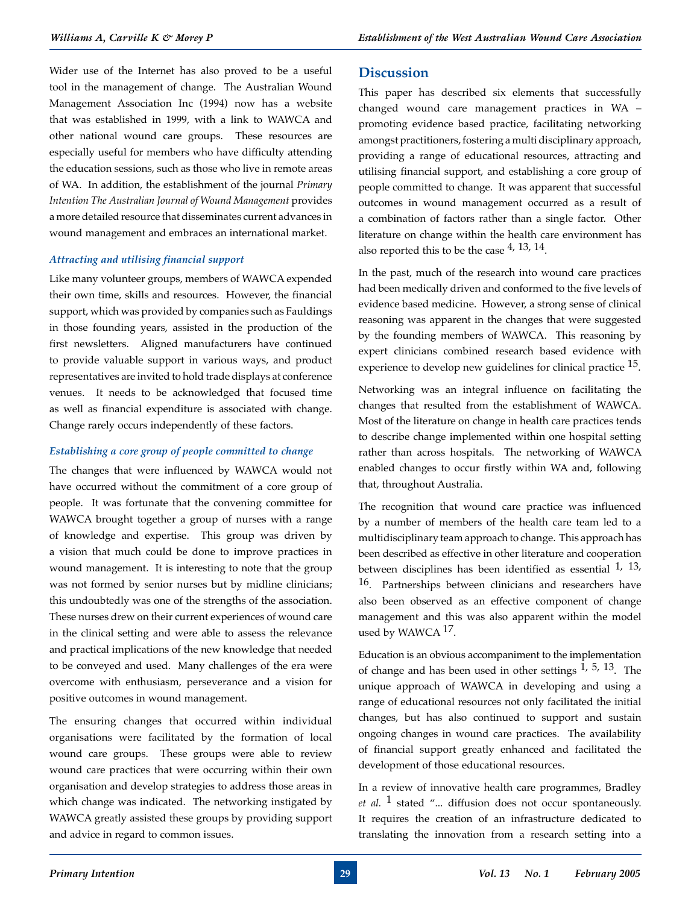Wider use of the Internet has also proved to be a useful tool in the management of change. The Australian Wound Management Association Inc (1994) now has a website that was established in 1999, with a link to WAWCA and other national wound care groups. These resources are especially useful for members who have difficulty attending the education sessions, such as those who live in remote areas of WA. In addition, the establishment of the journal *Primary Intention The Australian Journal of Wound Management* provides a more detailed resource that disseminates current advances in wound management and embraces an international market.

#### *Attracting and utilising financial support*

Like many volunteer groups, members of WAWCA expended their own time, skills and resources. However, the financial support, which was provided by companies such as Fauldings in those founding years, assisted in the production of the first newsletters. Aligned manufacturers have continued to provide valuable support in various ways, and product representatives are invited to hold trade displays at conference venues. It needs to be acknowledged that focused time as well as financial expenditure is associated with change. Change rarely occurs independently of these factors.

#### *Establishing a core group of people committed to change*

The changes that were influenced by WAWCA would not have occurred without the commitment of a core group of people. It was fortunate that the convening committee for WAWCA brought together a group of nurses with a range of knowledge and expertise. This group was driven by a vision that much could be done to improve practices in wound management. It is interesting to note that the group was not formed by senior nurses but by midline clinicians; this undoubtedly was one of the strengths of the association. These nurses drew on their current experiences of wound care in the clinical setting and were able to assess the relevance and practical implications of the new knowledge that needed to be conveyed and used. Many challenges of the era were overcome with enthusiasm, perseverance and a vision for positive outcomes in wound management.

The ensuring changes that occurred within individual organisations were facilitated by the formation of local wound care groups. These groups were able to review wound care practices that were occurring within their own organisation and develop strategies to address those areas in which change was indicated. The networking instigated by WAWCA greatly assisted these groups by providing support and advice in regard to common issues.

# **Discussion**

This paper has described six elements that successfully changed wound care management practices in WA – promoting evidence based practice, facilitating networking amongst practitioners, fostering a multi disciplinary approach, providing a range of educational resources, attracting and utilising financial support, and establishing a core group of people committed to change. It was apparent that successful outcomes in wound management occurred as a result of a combination of factors rather than a single factor. Other literature on change within the health care environment has also reported this to be the case  $4$ , 13, 14.

In the past, much of the research into wound care practices had been medically driven and conformed to the five levels of evidence based medicine. However, a strong sense of clinical reasoning was apparent in the changes that were suggested by the founding members of WAWCA. This reasoning by expert clinicians combined research based evidence with experience to develop new guidelines for clinical practice <sup>15</sup>.

Networking was an integral influence on facilitating the changes that resulted from the establishment of WAWCA. Most of the literature on change in health care practices tends to describe change implemented within one hospital setting rather than across hospitals. The networking of WAWCA enabled changes to occur firstly within WA and, following that, throughout Australia.

The recognition that wound care practice was influenced by a number of members of the health care team led to a multidisciplinary team approach to change. This approach has been described as effective in other literature and cooperation between disciplines has been identified as essential  $1, 13,$ 16. Partnerships between clinicians and researchers have also been observed as an effective component of change management and this was also apparent within the model used by WAWCA <sup>17</sup>.

Education is an obvious accompaniment to the implementation of change and has been used in other settings  $1, 5, 13$ . The unique approach of WAWCA in developing and using a range of educational resources not only facilitated the initial changes, but has also continued to support and sustain ongoing changes in wound care practices. The availability of financial support greatly enhanced and facilitated the development of those educational resources.

In a review of innovative health care programmes, Bradley *et al.* 1 stated "... diffusion does not occur spontaneously. It requires the creation of an infrastructure dedicated to translating the innovation from a research setting into a